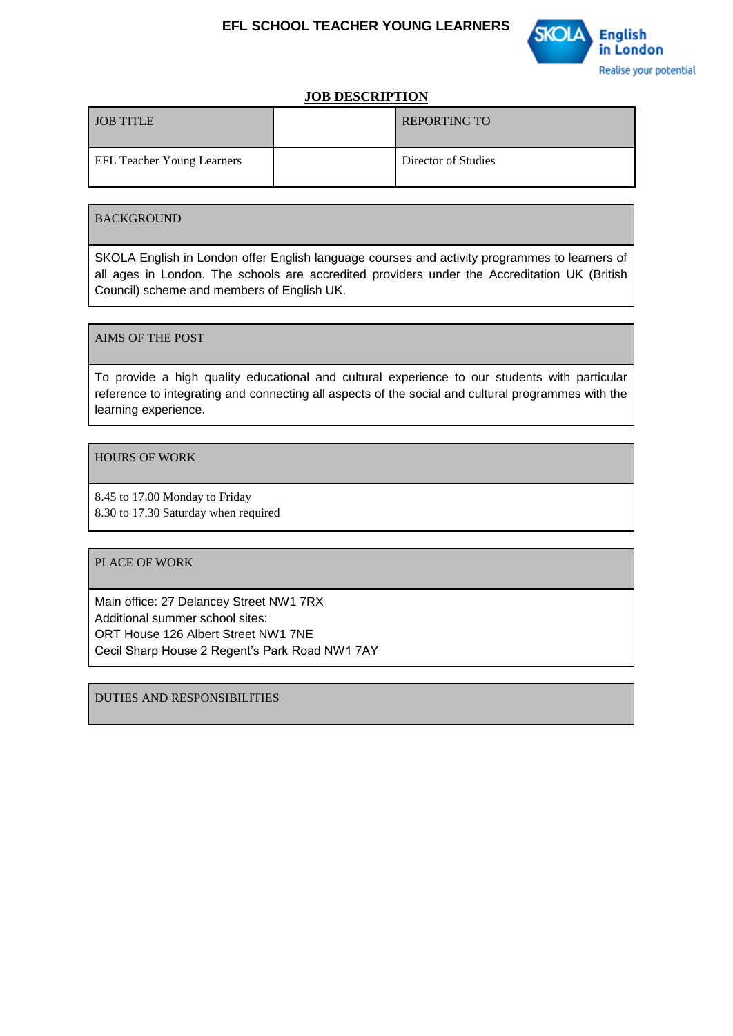

### **JOB DESCRIPTION**

| <b>JOB TITLE</b>                  | <b>REPORTING TO</b> |
|-----------------------------------|---------------------|
| <b>EFL Teacher Young Learners</b> | Director of Studies |

### BACKGROUND

SKOLA English in London offer English language courses and activity programmes to learners of all ages in London. The schools are accredited providers under the Accreditation UK (British Council) scheme and members of English UK.

### AIMS OF THE POST

To provide a high quality educational and cultural experience to our students with particular reference to integrating and connecting all aspects of the social and cultural programmes with the learning experience.

### HOURS OF WORK

8.45 to 17.00 Monday to Friday 8.30 to 17.30 Saturday when required

#### PLACE OF WORK

Main office: 27 Delancey Street NW1 7RX Additional summer school sites: ORT House 126 Albert Street NW1 7NE Cecil Sharp House 2 Regent's Park Road NW1 7AY

DUTIES AND RESPONSIBILITIES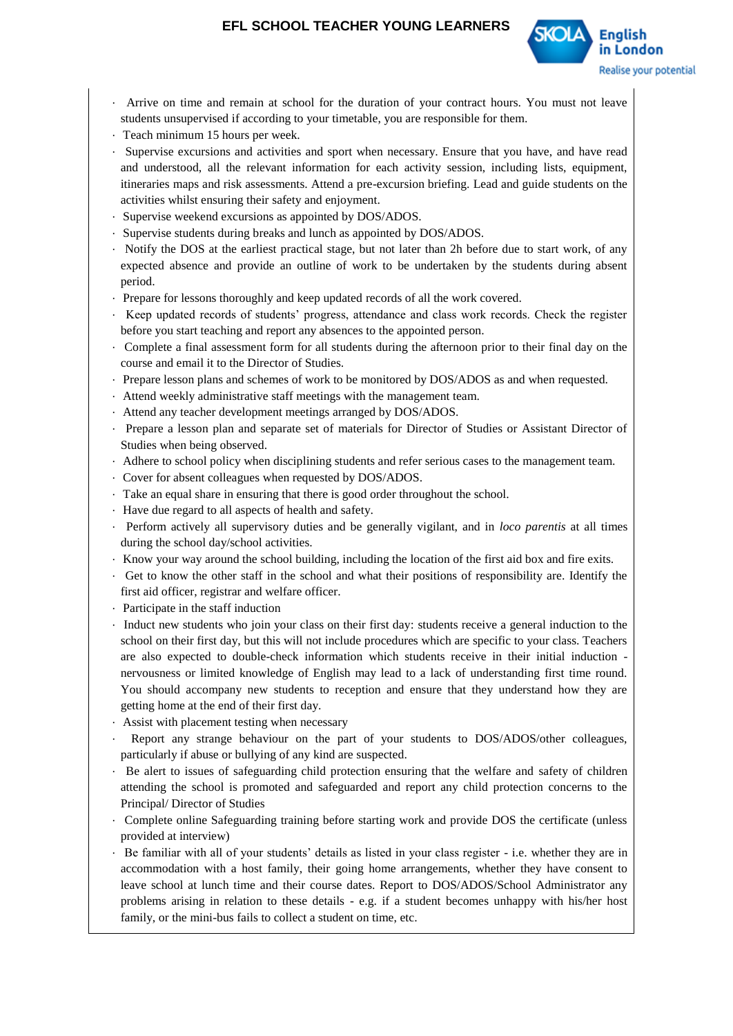

- · Arrive on time and remain at school for the duration of your contract hours. You must not leave students unsupervised if according to your timetable, you are responsible for them.
- · Teach minimum 15 hours per week.
- Supervise excursions and activities and sport when necessary. Ensure that you have, and have read and understood, all the relevant information for each activity session, including lists, equipment, itineraries maps and risk assessments. Attend a pre-excursion briefing. Lead and guide students on the activities whilst ensuring their safety and enjoyment.
- · Supervise weekend excursions as appointed by DOS/ADOS.
- · Supervise students during breaks and lunch as appointed by DOS/ADOS.
- · Notify the DOS at the earliest practical stage, but not later than 2h before due to start work, of any expected absence and provide an outline of work to be undertaken by the students during absent period.
- · Prepare for lessons thoroughly and keep updated records of all the work covered.
- · Keep updated records of students' progress, attendance and class work records. Check the register before you start teaching and report any absences to the appointed person.
- · Complete a final assessment form for all students during the afternoon prior to their final day on the course and email it to the Director of Studies.
- · Prepare lesson plans and schemes of work to be monitored by DOS/ADOS as and when requested.
- · Attend weekly administrative staff meetings with the management team.
- · Attend any teacher development meetings arranged by DOS/ADOS.
- · Prepare a lesson plan and separate set of materials for Director of Studies or Assistant Director of Studies when being observed.
- · Adhere to school policy when disciplining students and refer serious cases to the management team.
- · Cover for absent colleagues when requested by DOS/ADOS.
- · Take an equal share in ensuring that there is good order throughout the school.
- · Have due regard to all aspects of health and safety.
- · Perform actively all supervisory duties and be generally vigilant, and in *loco parentis* at all times during the school day/school activities.
- · Know your way around the school building, including the location of the first aid box and fire exits.
- · Get to know the other staff in the school and what their positions of responsibility are. Identify the first aid officer, registrar and welfare officer.
- · Participate in the staff induction
- · Induct new students who join your class on their first day: students receive a general induction to the school on their first day, but this will not include procedures which are specific to your class. Teachers are also expected to double-check information which students receive in their initial induction nervousness or limited knowledge of English may lead to a lack of understanding first time round. You should accompany new students to reception and ensure that they understand how they are getting home at the end of their first day.
- · Assist with placement testing when necessary
- Report any strange behaviour on the part of your students to DOS/ADOS/other colleagues, particularly if abuse or bullying of any kind are suspected.
- · Be alert to issues of safeguarding child protection ensuring that the welfare and safety of children attending the school is promoted and safeguarded and report any child protection concerns to the Principal/ Director of Studies
- · Complete online Safeguarding training before starting work and provide DOS the certificate (unless provided at interview)
- · Be familiar with all of your students' details as listed in your class register i.e. whether they are in accommodation with a host family, their going home arrangements, whether they have consent to leave school at lunch time and their course dates. Report to DOS/ADOS/School Administrator any problems arising in relation to these details - e.g. if a student becomes unhappy with his/her host family, or the mini-bus fails to collect a student on time, etc.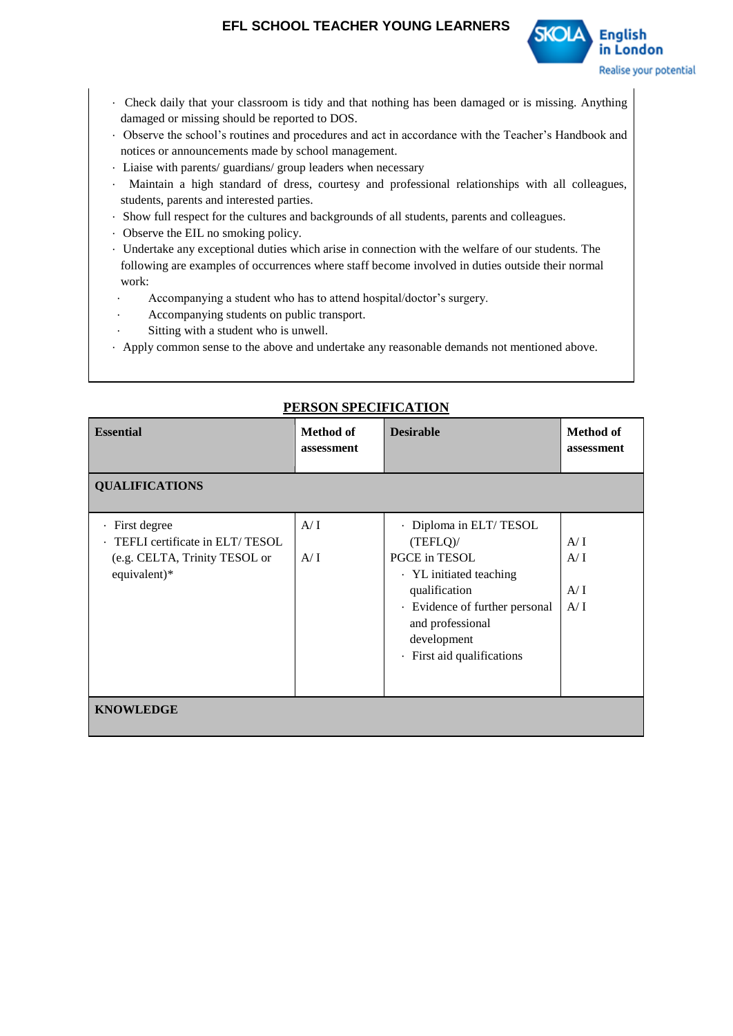

- · Check daily that your classroom is tidy and that nothing has been damaged or is missing. Anything damaged or missing should be reported to DOS.
- · Observe the school's routines and procedures and act in accordance with the Teacher's Handbook and notices or announcements made by school management.
- · Liaise with parents/ guardians/ group leaders when necessary
- · Maintain a high standard of dress, courtesy and professional relationships with all colleagues, students, parents and interested parties.
- · Show full respect for the cultures and backgrounds of all students, parents and colleagues.
- · Observe the EIL no smoking policy.
- · Undertake any exceptional duties which arise in connection with the welfare of our students. The following are examples of occurrences where staff become involved in duties outside their normal work:
	- Accompanying a student who has to attend hospital/doctor's surgery.
- Accompanying students on public transport.
- Sitting with a student who is unwell.
- · Apply common sense to the above and undertake any reasonable demands not mentioned above.

## **PERSON SPECIFICATION**

| <b>Essential</b>                                                                                    | <b>Method of</b><br>assessment | <b>Desirable</b>                                                                                                                                                                                  | <b>Method of</b><br>assessment |  |  |
|-----------------------------------------------------------------------------------------------------|--------------------------------|---------------------------------------------------------------------------------------------------------------------------------------------------------------------------------------------------|--------------------------------|--|--|
| <b>QUALIFICATIONS</b>                                                                               |                                |                                                                                                                                                                                                   |                                |  |  |
| · First degree<br>· TEFLI certificate in ELT/TESOL<br>(e.g. CELTA, Trinity TESOL or<br>equivalent)* | A/I<br>A/I                     | · Diploma in ELT/TESOL<br>(TEFLQ)<br>PGCE in TESOL<br>· YL initiated teaching<br>qualification<br>· Evidence of further personal<br>and professional<br>development<br>· First aid qualifications | A/I<br>A/I<br>A/I<br>A/I       |  |  |
| <b>KNOWLEDGE</b>                                                                                    |                                |                                                                                                                                                                                                   |                                |  |  |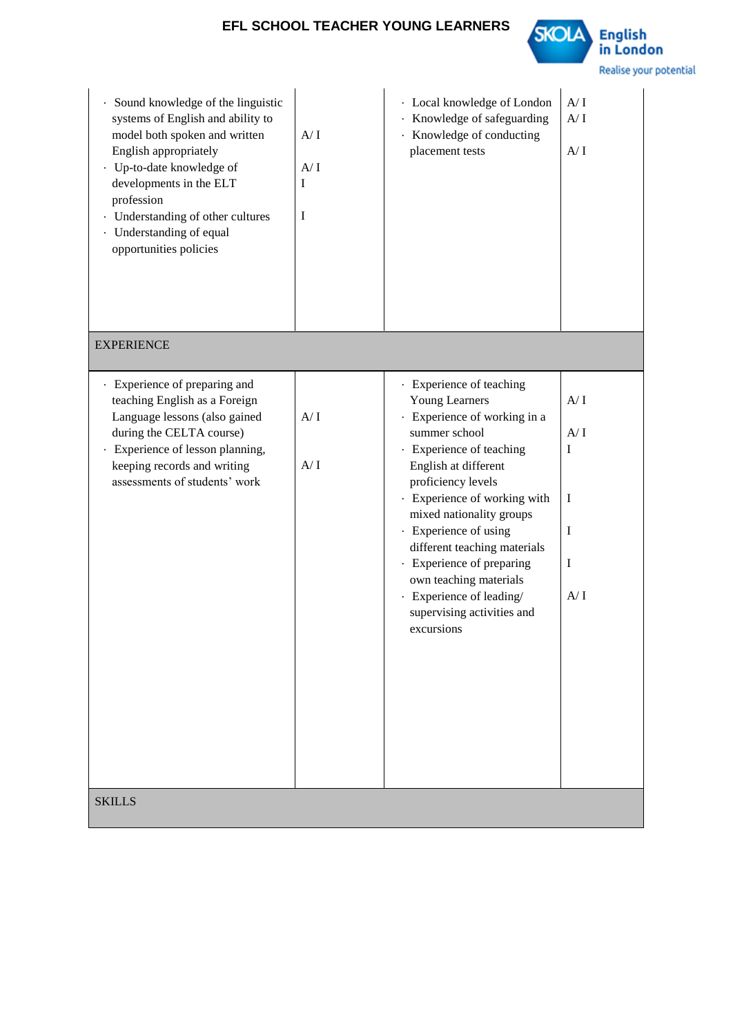

| Sound knowledge of the linguistic<br>٠<br>systems of English and ability to<br>model both spoken and written<br>English appropriately<br>· Up-to-date knowledge of<br>developments in the ELT<br>profession<br>· Understanding of other cultures<br>· Understanding of equal<br>opportunities policies | A/I<br>A/I<br>I<br>I | · Local knowledge of London<br>· Knowledge of safeguarding<br>· Knowledge of conducting<br>placement tests                                                                                                                                                                                                                                                                                                                       | A/I<br>A/I<br>A/I                     |  |  |
|--------------------------------------------------------------------------------------------------------------------------------------------------------------------------------------------------------------------------------------------------------------------------------------------------------|----------------------|----------------------------------------------------------------------------------------------------------------------------------------------------------------------------------------------------------------------------------------------------------------------------------------------------------------------------------------------------------------------------------------------------------------------------------|---------------------------------------|--|--|
| <b>EXPERIENCE</b>                                                                                                                                                                                                                                                                                      |                      |                                                                                                                                                                                                                                                                                                                                                                                                                                  |                                       |  |  |
| · Experience of preparing and<br>teaching English as a Foreign<br>Language lessons (also gained<br>during the CELTA course)<br>· Experience of lesson planning,<br>keeping records and writing<br>assessments of students' work                                                                        | A/I<br>A/I           | · Experience of teaching<br><b>Young Learners</b><br>· Experience of working in a<br>summer school<br>· Experience of teaching<br>English at different<br>proficiency levels<br>· Experience of working with<br>mixed nationality groups<br>· Experience of using<br>different teaching materials<br>· Experience of preparing<br>own teaching materials<br>· Experience of leading/<br>supervising activities and<br>excursions | A/I<br>A/I<br>I<br>I<br>I<br>I<br>A/I |  |  |
| <b>SKILLS</b>                                                                                                                                                                                                                                                                                          |                      |                                                                                                                                                                                                                                                                                                                                                                                                                                  |                                       |  |  |